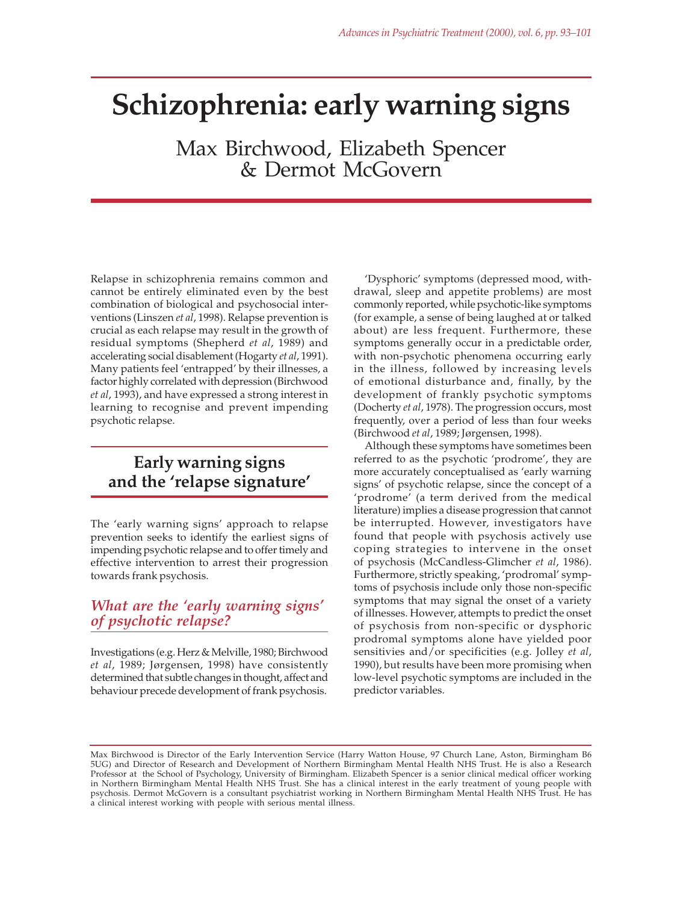# **Schizophrenia: early warning signs**

Max Birchwood, Elizabeth Spencer & Dermot McGovern

Relapse in schizophrenia remains common and cannot be entirely eliminated even by the best combination of biological and psychosocial interventions (Linszen *et al*, 1998). Relapse prevention is crucial as each relapse may result in the growth of residual symptoms (Shepherd *et al*, 1989) and accelerating social disablement (Hogarty *et al*, 1991). Many patients feel 'entrapped' by their illnesses, a factor highly correlated with depression (Birchwood *et al*, 1993), and have expressed a strong interest in learning to recognise and prevent impending psychotic relapse.

# **Early warning signs and the 'relapse signature'**

The 'early warning signs' approach to relapse prevention seeks to identify the earliest signs of impending psychotic relapse and to offer timely and effective intervention to arrest their progression towards frank psychosis.

# *What are the 'early warning signs' of psychotic relapse?*

Investigations (e.g. Herz & Melville, 1980; Birchwood *et al*, 1989; Jørgensen, 1998) have consistently determined that subtle changes in thought, affect and behaviour precede development of frank psychosis.

'Dysphoric' symptoms (depressed mood, withdrawal, sleep and appetite problems) are most commonly reported, while psychotic-like symptoms (for example, a sense of being laughed at or talked about) are less frequent. Furthermore, these symptoms generally occur in a predictable order, with non-psychotic phenomena occurring early in the illness, followed by increasing levels of emotional disturbance and, finally, by the development of frankly psychotic symptoms (Docherty *et al*, 1978). The progression occurs, most frequently, over a period of less than four weeks (Birchwood *et al*, 1989; Jørgensen, 1998).

Although these symptoms have sometimes been referred to as the psychotic 'prodrome', they are more accurately conceptualised as 'early warning signs' of psychotic relapse, since the concept of a 'prodrome' (a term derived from the medical literature) implies a disease progression that cannot be interrupted. However, investigators have found that people with psychosis actively use coping strategies to intervene in the onset of psychosis (McCandless-Glimcher *et al*, 1986). Furthermore, strictly speaking, 'prodromal' symptoms of psychosis include only those non-specific symptoms that may signal the onset of a variety of illnesses. However, attempts to predict the onset of psychosis from non-specific or dysphoric prodromal symptoms alone have yielded poor sensitivies and/or specificities (e.g. Jolley *et al*, 1990), but results have been more promising when low-level psychotic symptoms are included in the predictor variables.

Max Birchwood is Director of the Early Intervention Service (Harry Watton House, 97 Church Lane, Aston, Birmingham B6 5UG) and Director of Research and Development of Northern Birmingham Mental Health NHS Trust. He is also a Research Professor at the School of Psychology, University of Birmingham. Elizabeth Spencer is a senior clinical medical officer working in Northern Birmingham Mental Health NHS Trust. She has a clinical interest in the early treatment of young people with psychosis. Dermot McGovern is a consultant psychiatrist working in Northern Birmingham Mental Health NHS Trust. He has a clinical interest working with people with serious mental illness.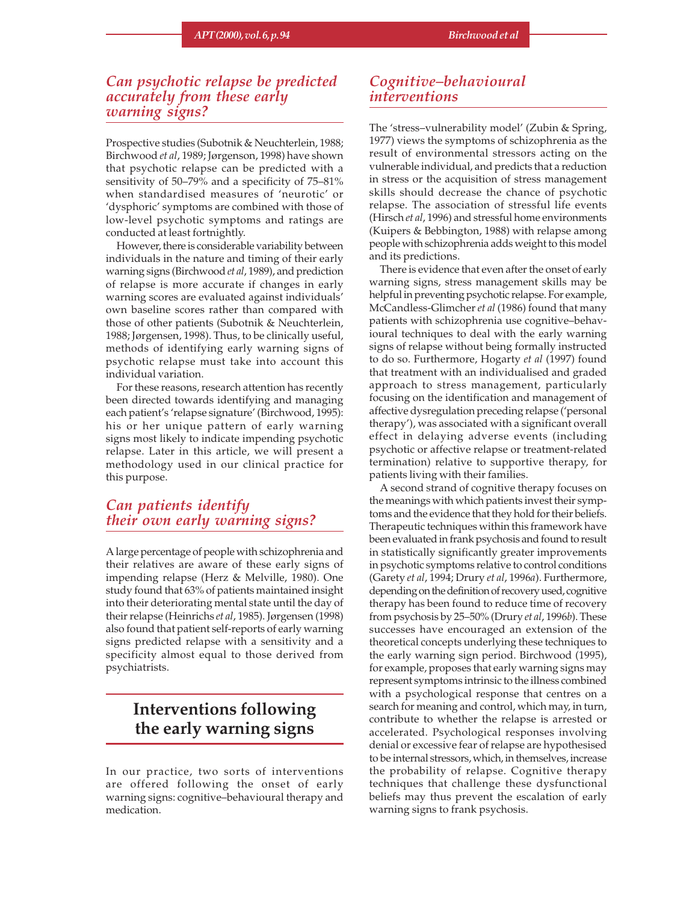# *Can psychotic relapse be predicted accurately from these early warning signs?*

Prospective studies (Subotnik & Neuchterlein, 1988; Birchwood *et al*, 1989; Jørgenson, 1998) have shown that psychotic relapse can be predicted with a sensitivity of 50–79% and a specificity of 75–81% when standardised measures of 'neurotic' or 'dysphoric' symptoms are combined with those of low-level psychotic symptoms and ratings are conducted at least fortnightly.

However, there is considerable variability between individuals in the nature and timing of their early warning signs (Birchwood *et al*, 1989), and prediction of relapse is more accurate if changes in early warning scores are evaluated against individuals' own baseline scores rather than compared with those of other patients (Subotnik & Neuchterlein, 1988; Jørgensen, 1998). Thus, to be clinically useful, methods of identifying early warning signs of psychotic relapse must take into account this individual variation.

For these reasons, research attention has recently been directed towards identifying and managing each patient's 'relapse signature' (Birchwood, 1995): his or her unique pattern of early warning signs most likely to indicate impending psychotic relapse. Later in this article, we will present a methodology used in our clinical practice for this purpose.

### *Can patients identify their own early warning signs?*

A large percentage of people with schizophrenia and their relatives are aware of these early signs of impending relapse (Herz & Melville, 1980). One study found that 63% of patients maintained insight into their deteriorating mental state until the day of their relapse (Heinrichs *et al*, 1985). Jørgensen (1998) also found that patient self-reports of early warning signs predicted relapse with a sensitivity and a specificity almost equal to those derived from psychiatrists.

# **Interventions following the early warning signs**

In our practice, two sorts of interventions are offered following the onset of early warning signs: cognitive–behavioural therapy and medication.

### *Cognitive–behavioural interventions*

The 'stress–vulnerability model' (Zubin & Spring, 1977) views the symptoms of schizophrenia as the result of environmental stressors acting on the vulnerable individual, and predicts that a reduction in stress or the acquisition of stress management skills should decrease the chance of psychotic relapse. The association of stressful life events (Hirsch *et al*, 1996) and stressful home environments (Kuipers & Bebbington, 1988) with relapse among people with schizophrenia adds weight to this model and its predictions.

There is evidence that even after the onset of early warning signs, stress management skills may be helpful in preventing psychotic relapse. For example, McCandless-Glimcher *et al* (1986) found that many patients with schizophrenia use cognitive–behavioural techniques to deal with the early warning signs of relapse without being formally instructed to do so. Furthermore, Hogarty *et al* (1997) found that treatment with an individualised and graded approach to stress management, particularly focusing on the identification and management of affective dysregulation preceding relapse ('personal therapy'), was associated with a significant overall effect in delaying adverse events (including psychotic or affective relapse or treatment-related termination) relative to supportive therapy, for patients living with their families.

A second strand of cognitive therapy focuses on the meanings with which patients invest their symptoms and the evidence that they hold for their beliefs. Therapeutic techniques within this framework have been evaluated in frank psychosis and found to result in statistically significantly greater improvements in psychotic symptoms relative to control conditions (Garety *et al*, 1994; Drury *et al*, 1996*a*). Furthermore, depending on the definition of recovery used, cognitive therapy has been found to reduce time of recovery from psychosis by 25–50% (Drury *et al*, 1996*b*). These successes have encouraged an extension of the theoretical concepts underlying these techniques to the early warning sign period. Birchwood (1995), for example, proposes that early warning signs may represent symptoms intrinsic to the illness combined with a psychological response that centres on a search for meaning and control, which may, in turn, contribute to whether the relapse is arrested or accelerated. Psychological responses involving denial or excessive fear of relapse are hypothesised to be internal stressors, which, in themselves, increase the probability of relapse. Cognitive therapy techniques that challenge these dysfunctional beliefs may thus prevent the escalation of early warning signs to frank psychosis.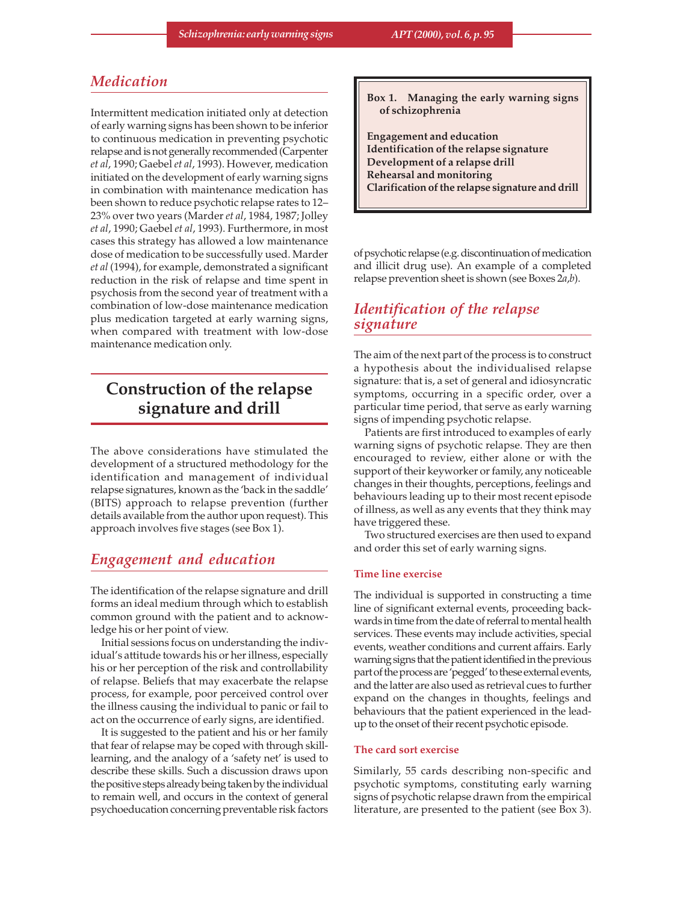# *Medication*

Intermittent medication initiated only at detection of early warning signs has been shown to be inferior to continuous medication in preventing psychotic relapse and is not generally recommended (Carpenter *et al*, 1990; Gaebel *et al*, 1993). However, medication initiated on the development of early warning signs in combination with maintenance medication has been shown to reduce psychotic relapse rates to 12– 23% over two years (Marder *et al*, 1984, 1987; Jolley *et al*, 1990; Gaebel *et al*, 1993). Furthermore, in most cases this strategy has allowed a low maintenance dose of medication to be successfully used. Marder *et al* (1994), for example, demonstrated a significant reduction in the risk of relapse and time spent in psychosis from the second year of treatment with a combination of low-dose maintenance medication plus medication targeted at early warning signs, when compared with treatment with low-dose maintenance medication only.

# **Construction of the relapse signature and drill**

The above considerations have stimulated the development of a structured methodology for the identification and management of individual relapse signatures, known as the 'back in the saddle' (BITS) approach to relapse prevention (further details available from the author upon request). This approach involves five stages (see Box 1).

# *Engagement and education*

The identification of the relapse signature and drill forms an ideal medium through which to establish common ground with the patient and to acknowledge his or her point of view.

Initial sessions focus on understanding the individual's attitude towards his or her illness, especially his or her perception of the risk and controllability of relapse. Beliefs that may exacerbate the relapse process, for example, poor perceived control over the illness causing the individual to panic or fail to act on the occurrence of early signs, are identified.

It is suggested to the patient and his or her family that fear of relapse may be coped with through skilllearning, and the analogy of a 'safety net' is used to describe these skills. Such a discussion draws upon the positive steps already being taken by the individual to remain well, and occurs in the context of general psychoeducation concerning preventable risk factors **Box 1. Managing the early warning signs of schizophrenia**

**Engagement and education Identification of the relapse signature Development of a relapse drill Rehearsal and monitoring Clarification of the relapse signature and drill**

of psychotic relapse (e.g. discontinuation of medication and illicit drug use). An example of a completed relapse prevention sheet is shown (see Boxes 2*a*,*b*).

# *Identification of the relapse signature*

The aim of the next part of the process is to construct a hypothesis about the individualised relapse signature: that is, a set of general and idiosyncratic symptoms, occurring in a specific order, over a particular time period, that serve as early warning signs of impending psychotic relapse.

Patients are first introduced to examples of early warning signs of psychotic relapse. They are then encouraged to review, either alone or with the support of their keyworker or family, any noticeable changes in their thoughts, perceptions, feelings and behaviours leading up to their most recent episode of illness, as well as any events that they think may have triggered these.

Two structured exercises are then used to expand and order this set of early warning signs.

#### **Time line exercise**

The individual is supported in constructing a time line of significant external events, proceeding backwards in time from the date of referral to mental health services. These events may include activities, special events, weather conditions and current affairs. Early warning signs that the patient identified in the previous part of the process are 'pegged' to these external events, and the latter are also used as retrieval cues to further expand on the changes in thoughts, feelings and behaviours that the patient experienced in the leadup to the onset of their recent psychotic episode.

#### **The card sort exercise**

Similarly, 55 cards describing non-specific and psychotic symptoms, constituting early warning signs of psychotic relapse drawn from the empirical literature, are presented to the patient (see Box 3).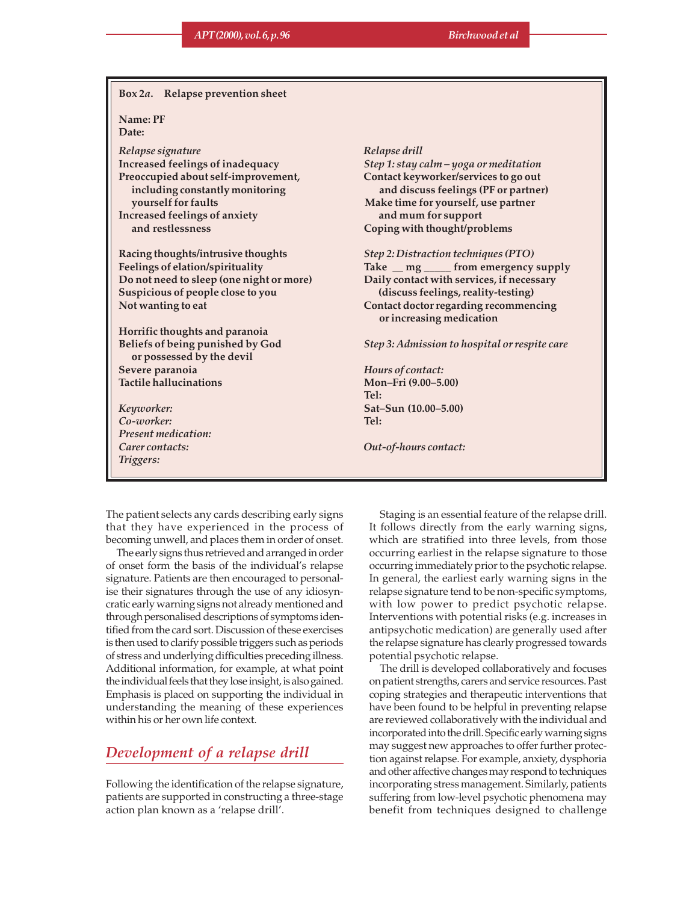| Box 2a. Relapse prevention sheet                              |                                                                   |  |  |  |  |
|---------------------------------------------------------------|-------------------------------------------------------------------|--|--|--|--|
| Name: PF<br>Date:                                             |                                                                   |  |  |  |  |
| Relapse signature                                             | Relapse drill                                                     |  |  |  |  |
| Increased feelings of inadequacy                              | Step 1: stay calm - yoga or meditation                            |  |  |  |  |
| Preoccupied about self-improvement,                           | Contact keyworker/services to go out                              |  |  |  |  |
| including constantly monitoring                               | and discuss feelings (PF or partner)                              |  |  |  |  |
| yourself for faults                                           | Make time for yourself, use partner                               |  |  |  |  |
| Increased feelings of anxiety                                 | and mum for support                                               |  |  |  |  |
| and restlessness                                              | Coping with thought/problems                                      |  |  |  |  |
| Racing thoughts/intrusive thoughts                            | Step 2: Distraction techniques (PTO)                              |  |  |  |  |
| Feelings of elation/spirituality                              | Take _ mg _ from emergency supply                                 |  |  |  |  |
| Do not need to sleep (one night or more)                      | Daily contact with services, if necessary                         |  |  |  |  |
| Suspicious of people close to you                             | (discuss feelings, reality-testing)                               |  |  |  |  |
| Not wanting to eat                                            | Contact doctor regarding recommencing<br>or increasing medication |  |  |  |  |
| Horrific thoughts and paranoia                                |                                                                   |  |  |  |  |
| Beliefs of being punished by God<br>or possessed by the devil | Step 3: Admission to hospital or respite care                     |  |  |  |  |
| Severe paranoia                                               | Hours of contact:                                                 |  |  |  |  |
| <b>Tactile hallucinations</b>                                 | Mon-Fri (9.00-5.00)                                               |  |  |  |  |
|                                                               | Tel:                                                              |  |  |  |  |
| Keyworker:                                                    | Sat-Sun (10.00-5.00)                                              |  |  |  |  |
| Co-worker:                                                    | Tel:                                                              |  |  |  |  |
| <b>Present medication:</b>                                    |                                                                   |  |  |  |  |
| Carer contacts:                                               | Out-of-hours contact:                                             |  |  |  |  |
| Triggers:                                                     |                                                                   |  |  |  |  |
|                                                               |                                                                   |  |  |  |  |

The patient selects any cards describing early signs that they have experienced in the process of becoming unwell, and places them in order of onset.

The early signs thus retrieved and arranged in order of onset form the basis of the individual's relapse signature. Patients are then encouraged to personalise their signatures through the use of any idiosyncratic early warning signs not already mentioned and through personalised descriptions of symptoms identified from the card sort. Discussion of these exercises is then used to clarify possible triggers such as periods of stress and underlying difficulties preceding illness. Additional information, for example, at what point the individual feels that they lose insight, is also gained. Emphasis is placed on supporting the individual in understanding the meaning of these experiences within his or her own life context.

# *Development of a relapse drill*

Following the identification of the relapse signature, patients are supported in constructing a three-stage action plan known as a 'relapse drill'.

Staging is an essential feature of the relapse drill. It follows directly from the early warning signs, which are stratified into three levels, from those occurring earliest in the relapse signature to those occurring immediately prior to the psychotic relapse. In general, the earliest early warning signs in the relapse signature tend to be non-specific symptoms, with low power to predict psychotic relapse. Interventions with potential risks (e.g. increases in antipsychotic medication) are generally used after the relapse signature has clearly progressed towards potential psychotic relapse.

The drill is developed collaboratively and focuses on patient strengths, carers and service resources. Past coping strategies and therapeutic interventions that have been found to be helpful in preventing relapse are reviewed collaboratively with the individual and incorporated into the drill. Specific early warning signs may suggest new approaches to offer further protection against relapse. For example, anxiety, dysphoria and other affective changes may respond to techniques incorporating stress management. Similarly, patients suffering from low-level psychotic phenomena may benefit from techniques designed to challenge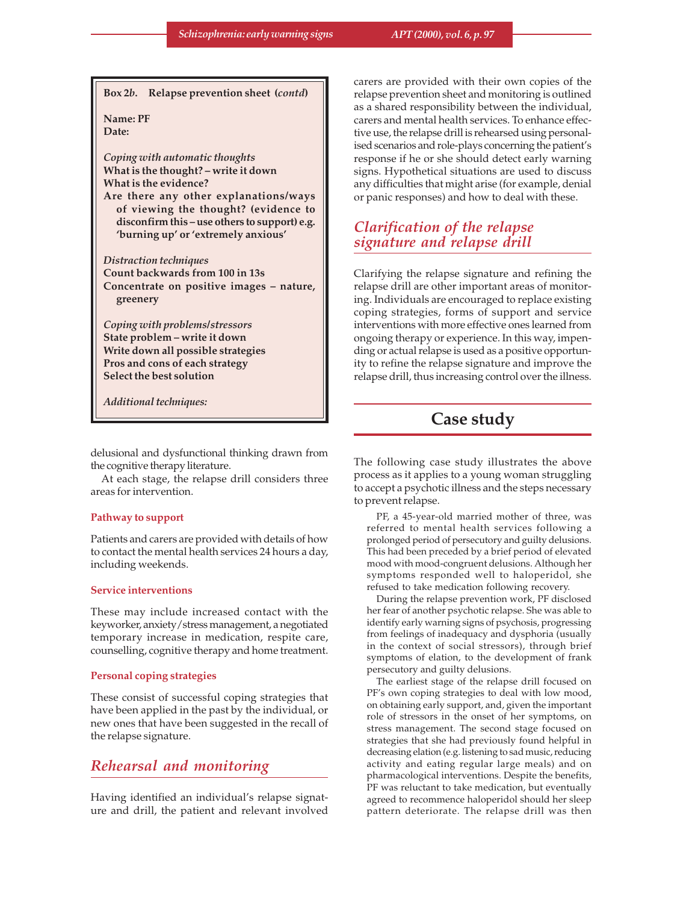**Box 2***b***. Relapse prevention sheet (***contd***)**

**Name: PF Date:**

*Coping with automatic thoughts* **What is the thought? – write it down What is the evidence?**

**Are there any other explanations/ways of viewing the thought? (evidence to disconfirm this – use others to support) e.g. 'burning up' or 'extremely anxious'**

*Distraction techniques* **Count backwards from 100 in 13s Concentrate on positive images – nature, greenery**

*Coping with problems/stressors* **State problem – write it down Write down all possible strategies Pros and cons of each strategy Select the best solution**

*Additional techniques:*

delusional and dysfunctional thinking drawn from the cognitive therapy literature.

At each stage, the relapse drill considers three areas for intervention.

#### **Pathway to support**

Patients and carers are provided with details of how to contact the mental health services 24 hours a day, including weekends.

#### **Service interventions**

These may include increased contact with the keyworker, anxiety/stress management, a negotiated temporary increase in medication, respite care, counselling, cognitive therapy and home treatment.

#### **Personal coping strategies**

These consist of successful coping strategies that have been applied in the past by the individual, or new ones that have been suggested in the recall of the relapse signature.

### *Rehearsal and monitoring*

Having identified an individual's relapse signature and drill, the patient and relevant involved carers are provided with their own copies of the relapse prevention sheet and monitoring is outlined as a shared responsibility between the individual, carers and mental health services. To enhance effective use, the relapse drill is rehearsed using personalised scenarios and role-plays concerning the patient's response if he or she should detect early warning signs. Hypothetical situations are used to discuss any difficulties that might arise (for example, denial or panic responses) and how to deal with these.

# *Clarification of the relapse signature and relapse drill*

Clarifying the relapse signature and refining the relapse drill are other important areas of monitoring. Individuals are encouraged to replace existing coping strategies, forms of support and service interventions with more effective ones learned from ongoing therapy or experience. In this way, impending or actual relapse is used as a positive opportunity to refine the relapse signature and improve the relapse drill, thus increasing control over the illness.

# **Case study**

The following case study illustrates the above process as it applies to a young woman struggling to accept a psychotic illness and the steps necessary to prevent relapse.

PF, a 45-year-old married mother of three, was referred to mental health services following a prolonged period of persecutory and guilty delusions. This had been preceded by a brief period of elevated mood with mood-congruent delusions. Although her symptoms responded well to haloperidol, she refused to take medication following recovery.

During the relapse prevention work, PF disclosed her fear of another psychotic relapse. She was able to identify early warning signs of psychosis, progressing from feelings of inadequacy and dysphoria (usually in the context of social stressors), through brief symptoms of elation, to the development of frank persecutory and guilty delusions.

The earliest stage of the relapse drill focused on PF's own coping strategies to deal with low mood, on obtaining early support, and, given the important role of stressors in the onset of her symptoms, on stress management. The second stage focused on strategies that she had previously found helpful in decreasing elation (e.g. listening to sad music, reducing activity and eating regular large meals) and on pharmacological interventions. Despite the benefits, PF was reluctant to take medication, but eventually agreed to recommence haloperidol should her sleep pattern deteriorate. The relapse drill was then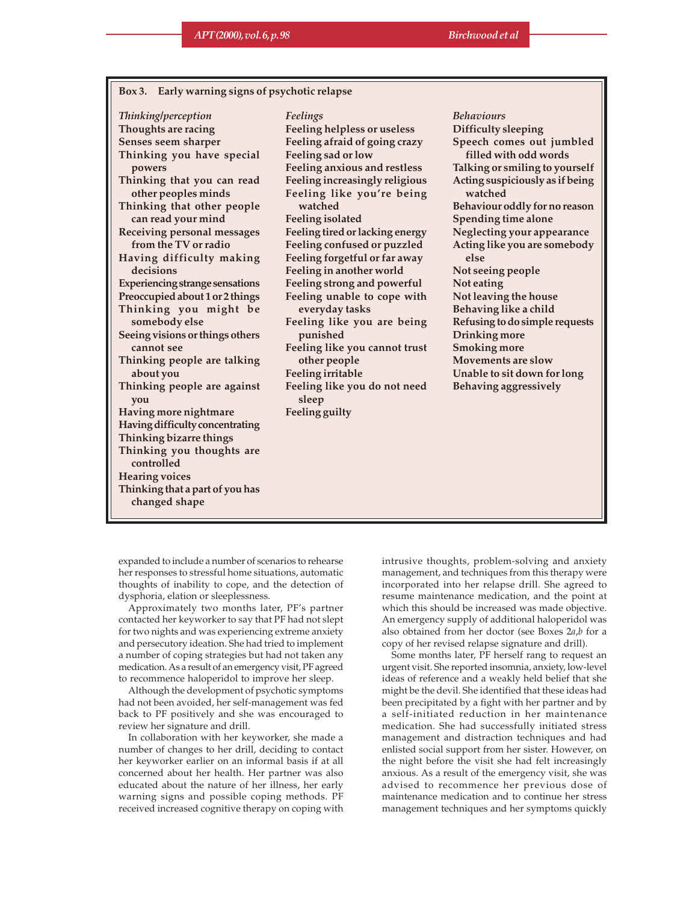#### **Box 3. Early warning signs of psychotic relapse**

*Thinking/perception* **Thoughts are racing Senses seem sharper Thinking you have special powers Thinking that you can read other peoples minds Thinking that other people can read your mind Receiving personal messages from the TV or radio Having difficulty making decisions Experiencing strange sensations Preoccupied about 1 or 2 things Thinking you might be somebody else Seeing visions or things others cannot see Thinking people are talking about you Thinking people are against you Having more nightmare Having difficulty concentrating Thinking bizarre things Thinking you thoughts are controlled Hearing voices Thinking that a part of you has changed shape**

*Feelings* **Feeling helpless or useless Feeling afraid of going crazy Feeling sad or low Feeling anxious and restless Feeling increasingly religious Feeling like you're being watched Feeling isolated Feeling tired or lacking energy Feeling confused or puzzled Feeling forgetful or far away Feeling in another world Feeling strong and powerful Feeling unable to cope with everyday tasks Feeling like you are being punished Feeling like you cannot trust other people Feeling irritable Feeling like you do not need sleep Feeling guilty**

*Behaviours* **Difficulty sleeping Speech comes out jumbled filled with odd words Talking or smiling to yourself Acting suspiciously as if being watched Behaviour oddly for no reason Spending time alone Neglecting your appearance Acting like you are somebody else Not seeing people Not eating Not leaving the house Behaving like a child Refusing to do simple requests Drinking more Smoking more Movements are slow Unable to sit down for long Behaving aggressively**

expanded to include a number of scenarios to rehearse her responses to stressful home situations, automatic thoughts of inability to cope, and the detection of dysphoria, elation or sleeplessness.

Approximately two months later, PF's partner contacted her keyworker to say that PF had not slept for two nights and was experiencing extreme anxiety and persecutory ideation. She had tried to implement a number of coping strategies but had not taken any medication. As a result of an emergency visit, PF agreed to recommence haloperidol to improve her sleep.

Although the development of psychotic symptoms had not been avoided, her self-management was fed back to PF positively and she was encouraged to review her signature and drill.

In collaboration with her keyworker, she made a number of changes to her drill, deciding to contact her keyworker earlier on an informal basis if at all concerned about her health. Her partner was also educated about the nature of her illness, her early warning signs and possible coping methods. PF received increased cognitive therapy on coping with intrusive thoughts, problem-solving and anxiety management, and techniques from this therapy were incorporated into her relapse drill. She agreed to resume maintenance medication, and the point at which this should be increased was made objective. An emergency supply of additional haloperidol was also obtained from her doctor (see Boxes 2*a*,*b* for a copy of her revised relapse signature and drill).

Some months later, PF herself rang to request an urgent visit. She reported insomnia, anxiety, low-level ideas of reference and a weakly held belief that she might be the devil. She identified that these ideas had been precipitated by a fight with her partner and by a self-initiated reduction in her maintenance medication. She had successfully initiated stress management and distraction techniques and had enlisted social support from her sister. However, on the night before the visit she had felt increasingly anxious. As a result of the emergency visit, she was advised to recommence her previous dose of maintenance medication and to continue her stress management techniques and her symptoms quickly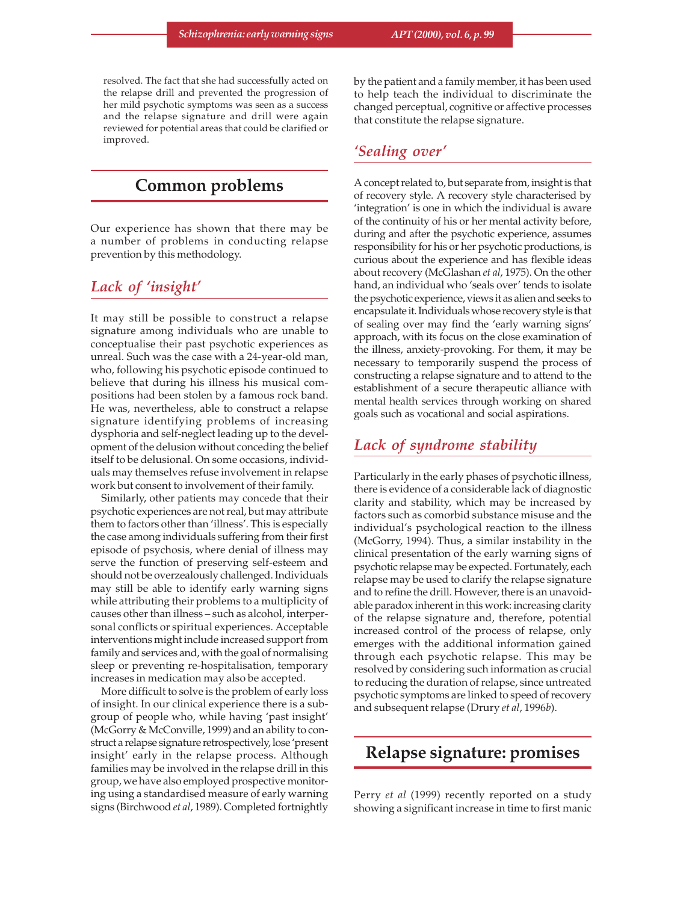resolved. The fact that she had successfully acted on the relapse drill and prevented the progression of her mild psychotic symptoms was seen as a success and the relapse signature and drill were again reviewed for potential areas that could be clarified or improved.

# **Common problems**

Our experience has shown that there may be a number of problems in conducting relapse prevention by this methodology.

# *Lack of 'insight'*

It may still be possible to construct a relapse signature among individuals who are unable to conceptualise their past psychotic experiences as unreal. Such was the case with a 24-year-old man, who, following his psychotic episode continued to believe that during his illness his musical compositions had been stolen by a famous rock band. He was, nevertheless, able to construct a relapse signature identifying problems of increasing dysphoria and self-neglect leading up to the development of the delusion without conceding the belief itself to be delusional. On some occasions, individuals may themselves refuse involvement in relapse work but consent to involvement of their family.

Similarly, other patients may concede that their psychotic experiences are not real, but may attribute them to factors other than 'illness'. This is especially the case among individuals suffering from their first episode of psychosis, where denial of illness may serve the function of preserving self-esteem and should not be overzealously challenged. Individuals may still be able to identify early warning signs while attributing their problems to a multiplicity of causes other than illness – such as alcohol, interpersonal conflicts or spiritual experiences. Acceptable interventions might include increased support from family and services and, with the goal of normalising sleep or preventing re-hospitalisation, temporary increases in medication may also be accepted.

More difficult to solve is the problem of early loss of insight. In our clinical experience there is a subgroup of people who, while having 'past insight' (McGorry & McConville, 1999) and an ability to construct a relapse signature retrospectively, lose 'present insight' early in the relapse process. Although families may be involved in the relapse drill in this group, we have also employed prospective monitoring using a standardised measure of early warning signs (Birchwood *et al*, 1989). Completed fortnightly by the patient and a family member, it has been used to help teach the individual to discriminate the changed perceptual, cognitive or affective processes that constitute the relapse signature.

### *'Sealing over'*

A concept related to, but separate from, insight is that of recovery style. A recovery style characterised by 'integration' is one in which the individual is aware of the continuity of his or her mental activity before, during and after the psychotic experience, assumes responsibility for his or her psychotic productions, is curious about the experience and has flexible ideas about recovery (McGlashan *et al*, 1975). On the other hand, an individual who 'seals over' tends to isolate the psychotic experience, views it as alien and seeks to encapsulate it. Individuals whose recovery style is that of sealing over may find the 'early warning signs' approach, with its focus on the close examination of the illness, anxiety-provoking. For them, it may be necessary to temporarily suspend the process of constructing a relapse signature and to attend to the establishment of a secure therapeutic alliance with mental health services through working on shared goals such as vocational and social aspirations.

# *Lack of syndrome stability*

Particularly in the early phases of psychotic illness, there is evidence of a considerable lack of diagnostic clarity and stability, which may be increased by factors such as comorbid substance misuse and the individual's psychological reaction to the illness (McGorry, 1994). Thus, a similar instability in the clinical presentation of the early warning signs of psychotic relapse may be expected. Fortunately, each relapse may be used to clarify the relapse signature and to refine the drill. However, there is an unavoidable paradox inherent in this work: increasing clarity of the relapse signature and, therefore, potential increased control of the process of relapse, only emerges with the additional information gained through each psychotic relapse. This may be resolved by considering such information as crucial to reducing the duration of relapse, since untreated psychotic symptoms are linked to speed of recovery and subsequent relapse (Drury *et al*, 1996*b*).

# **Relapse signature: promises**

Perry *et al* (1999) recently reported on a study showing a significant increase in time to first manic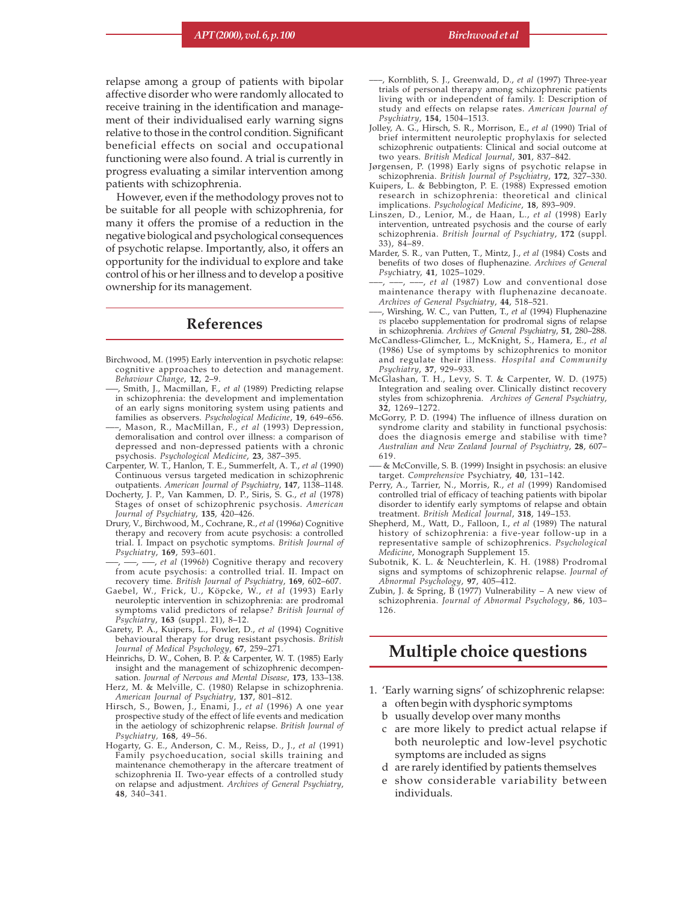relapse among a group of patients with bipolar affective disorder who were randomly allocated to receive training in the identification and management of their individualised early warning signs relative to those in the control condition. Significant beneficial effects on social and occupational functioning were also found. A trial is currently in progress evaluating a similar intervention among patients with schizophrenia.

However, even if the methodology proves not to be suitable for all people with schizophrenia, for many it offers the promise of a reduction in the negative biological and psychological consequences of psychotic relapse. Importantly, also, it offers an opportunity for the individual to explore and take control of his or her illness and to develop a positive ownership for its management.

### **References**

- Birchwood, M. (1995) Early intervention in psychotic relapse: cognitive approaches to detection and management. *Behaviour Change*, **12**, 2–9.
- –––, Smith, J., Macmillan, F., *et al* (1989) Predicting relapse in schizophrenia: the development and implementation of an early signs monitoring system using patients and families as observers. *Psychological Medicine*, **19**, 649–656.
- –––, Mason, R., MacMillan, F., *et al* (1993) Depression, demoralisation and control over illness: a comparison of depressed and non-depressed patients with a chronic psychosis. *Psychological Medicine*, **23**, 387–395.
- Carpenter, W. T., Hanlon, T. E., Summerfelt, A. T., *et al* (1990) Continuous versus targeted medication in schizophrenic outpatients. *American Journal of Psychiatry*, **147**, 1138–1148.
- Docherty, J. P., Van Kammen, D. P., Siris, S. G., *et al* (1978) Stages of onset of schizophrenic psychosis. *American Journal of Psychiatry*, **135**, 420–426.
- Drury, V., Birchwood, M., Cochrane, R., *et al* (1996*a*) Cognitive therapy and recovery from acute psychosis: a controlled trial. I. Impact on psychotic symptoms. *British Journal of Psychiatry*, **169**, 593–601.
- –––, –––, –––, *et al* (1996*b*) Cognitive therapy and recovery from acute psychosis: a controlled trial. II. Impact on recovery time*. British Journal of Psychiatry*, **169**, 602–607.
- Gaebel, W., Frick, U., Köpcke, W., *et al* (1993) Early neuroleptic intervention in schizophrenia: are prodromal symptoms valid predictors of relapse*? British Journal of Psychiatry*, **163** (suppl. 21), 8–12.
- Garety, P. A., Kuipers, L., Fowler, D., *et al* (1994) Cognitive behavioural therapy for drug resistant psychosis. *British Journal of Medical Psychology*, **67**, 259–271.
- Heinrichs, D. W., Cohen, B. P. & Carpenter, W. T. (1985) Early insight and the management of schizophrenic decompensation. *Journal of Nervous and Mental Disease*, **173**, 133–138.
- Herz, M. & Melville, C. (1980) Relapse in schizophrenia. *American Journal of Psychiatry*, **137**, 801–812.
- Hirsch, S., Bowen, J., Enami, J., *et al* (1996) A one year prospective study of the effect of life events and medication in the aetiology of schizophrenic relapse. *British Journal of Psychiatry,* **168**, 49–56.
- Hogarty, G. E., Anderson, C. M., Reiss, D., J., *et al* (1991) Family psychoeducation, social skills training and maintenance chemotherapy in the aftercare treatment of schizophrenia II. Two-year effects of a controlled study on relapse and adjustment. *Archives of General Psychiatry*, **48**, 340–341.
- –––, Kornblith, S. J., Greenwald, D., *et al* (1997) Three-year trials of personal therapy among schizophrenic patients living with or independent of family. I: Description of study and effects on relapse rates. *American Journal of Psychiatry*, **154**, 1504–1513.
- Jolley, A. G., Hirsch, S. R., Morrison, E., *et al* (1990) Trial of brief intermittent neuroleptic prophylaxis for selected schizophrenic outpatients: Clinical and social outcome at two years. *British Medical Journal*, **301**, 837–842.
- Jørgensen, P. (1998) Early signs of psychotic relapse in schizophrenia. *British Journal of Psychiatry*, **172**, 327–330.
- Kuipers, L. & Bebbington, P. E. (1988) Expressed emotion research in schizophrenia: theoretical and clinical implications. *Psychological Medicine*, **18**, 893–909.
- Linszen, D., Lenior, M., de Haan, L., *et al* (1998) Early intervention, untreated psychosis and the course of early schizophrenia. *British Journal of Psychiatry*, **172** (suppl.  $33)$ ,  $84-89$ .
- Marder, S. R., van Putten, T., Mintz, J., *et al* (1984) Costs and benefits of two doses of fluphenazine. *Archives of General Psyc*hiatry, **41**, 1025–1029.
- –––, –––, –––, *et al* (1987) Low and conventional dose maintenance therapy with fluphenazine decanoate. *Archives of General Psychiatry*, **44**, 518–521.
- –––, Wirshing, W. C., van Putten, T., *et al* (1994) Fluphenazine *vs* placebo supplementation for prodromal signs of relapse in schizophrenia*. Archives of General Psychiatry*, **51**, 280–288.
- McCandless-Glimcher, L., McKnight, S., Hamera, E., *et al* (1986) Use of symptoms by schizophrenics to monitor and regulate their illness*. Hospital and Community Psychiatry*, **37**, 929–933.
- McGlashan, T. H., Levy, S. T. & Carpenter, W. D. (1975) Integration and sealing over. Clinically distinct recovery styles from schizophrenia. *Archives of General Psychiatry*, **32**, 1269–1272.
- McGorry, P. D. (1994) The influence of illness duration on syndrome clarity and stability in functional psychosis: does the diagnosis emerge and stabilise with time? *Australian and New Zealand Journal of Psychiatry*, **28**, 607– 619.
- ––– & McConville, S. B. (1999) Insight in psychosis: an elusive target. *Comprehensive* Psychiatry, **40**, 131–142.
- Perry, A., Tarrier, N., Morris, R., *et al* (1999) Randomised controlled trial of efficacy of teaching patients with bipolar disorder to identify early symptoms of relapse and obtain treatment. *British Medical Journal*, **318**, 149–153.
- Shepherd, M., Watt, D., Falloon, I., *et al* (1989) The natural history of schizophrenia: a five-year follow-up in a representative sample of schizophrenics. *Psychological Medicine*, Monograph Supplement 15.
- Subotnik, K. L. & Neuchterlein, K. H. (1988) Prodromal signs and symptoms of schizophrenic relapse. *Journal of Abnormal Psychology*, **97**, 405–412.
- Zubin, J. & Spring, B (1977) Vulnerability A new view of schizophrenia. *Journal of Abnormal Psychology*, **86**, 103– 126.

# **Multiple choice questions**

- 1. 'Early warning signs' of schizophrenic relapse:
	- a often begin with dysphoric symptoms
	- b usually develop over many months
	- c are more likely to predict actual relapse if both neuroleptic and low-level psychotic symptoms are included as signs
	- d are rarely identified by patients themselves
	- e show considerable variability between individuals.